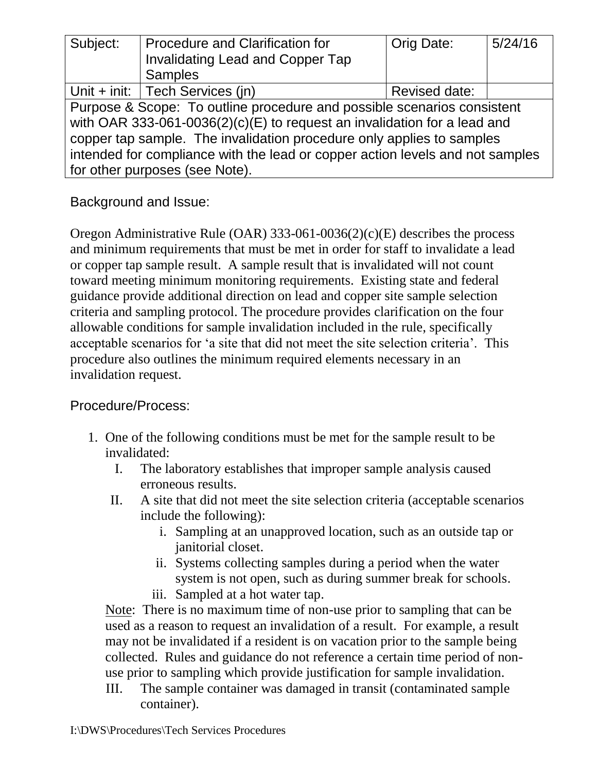| Subject:                                                                      | <b>Procedure and Clarification for</b><br><b>Invalidating Lead and Copper Tap</b> | Orig Date:    | 5/24/16 |
|-------------------------------------------------------------------------------|-----------------------------------------------------------------------------------|---------------|---------|
|                                                                               | <b>Samples</b>                                                                    |               |         |
|                                                                               | Unit + init: $ $ Tech Services (in)                                               | Revised date: |         |
| Purpose & Scope: To outline procedure and possible scenarios consistent       |                                                                                   |               |         |
| with OAR 333-061-0036(2)(c)(E) to request an invalidation for a lead and      |                                                                                   |               |         |
| copper tap sample. The invalidation procedure only applies to samples         |                                                                                   |               |         |
| intended for compliance with the lead or copper action levels and not samples |                                                                                   |               |         |
| for other purposes (see Note).                                                |                                                                                   |               |         |

Background and Issue:

Oregon Administrative Rule (OAR) 333-061-0036(2)(c)(E) describes the process and minimum requirements that must be met in order for staff to invalidate a lead or copper tap sample result. A sample result that is invalidated will not count toward meeting minimum monitoring requirements. Existing state and federal guidance provide additional direction on lead and copper site sample selection criteria and sampling protocol. The procedure provides clarification on the four allowable conditions for sample invalidation included in the rule, specifically acceptable scenarios for 'a site that did not meet the site selection criteria'. This procedure also outlines the minimum required elements necessary in an invalidation request.

## Procedure/Process:

- 1. One of the following conditions must be met for the sample result to be invalidated:
	- I. The laboratory establishes that improper sample analysis caused erroneous results.
	- II. A site that did not meet the site selection criteria (acceptable scenarios include the following):
		- i. Sampling at an unapproved location, such as an outside tap or janitorial closet.
		- ii. Systems collecting samples during a period when the water system is not open, such as during summer break for schools.
		- iii. Sampled at a hot water tap.

Note: There is no maximum time of non-use prior to sampling that can be used as a reason to request an invalidation of a result. For example, a result may not be invalidated if a resident is on vacation prior to the sample being collected. Rules and guidance do not reference a certain time period of nonuse prior to sampling which provide justification for sample invalidation.

III. The sample container was damaged in transit (contaminated sample container).